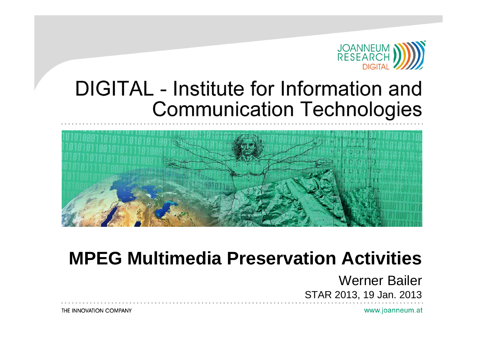

#### DIGITAL - Institute for Information and **Communication Technologies**



#### **MPEG Multimedia Preservation Activities**

Werner Bailer STAR 2013, 19 Jan. 2013

www.joanneum.at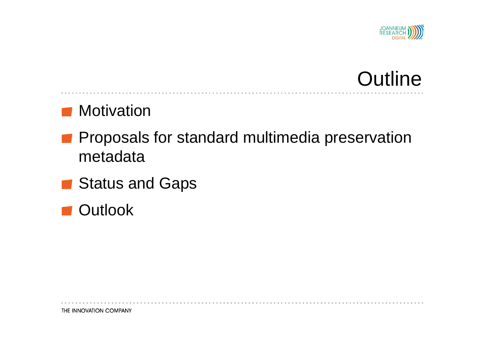

# **Outline**

#### **Motivation**

- **Proposals for standard multimedia preservation** metadata
- **Status and Gaps**

**Outlook**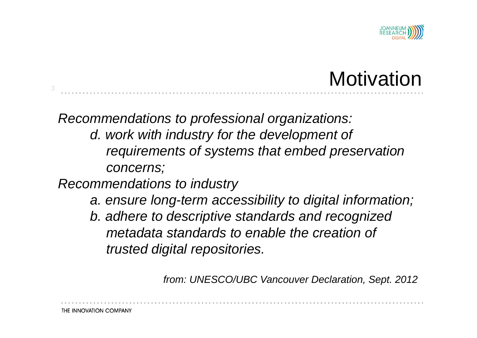

# **Motivation**

*Recommendations to professional organizations: d. work with industry for the development of requirements of systems that embed preservation concerns;*

*Recommendations to industry* 

- *a. ensure long-term accessibility to digital information;*
- *b. adhere to descriptive standards and recognized metadata standards to enable the creation of trusted digital repositories.*

*from: UNESCO/UBC Vancouver Declaration, Sept. 2012*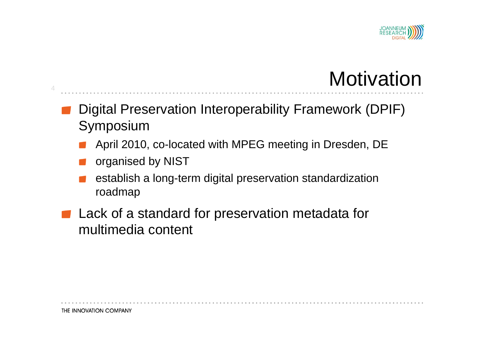

# **Motivation**

Digital Preservation Interoperability Framework (DPIF) Symposium

- April 2010, co-located with MPEG meeting in Dresden, DE
- organised by NIST
- establish a long-term digital preservation standardization roadmap
- **Lack of a standard for preservation metadata for** multimedia content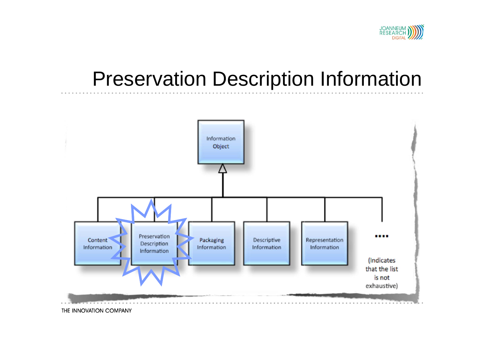

## Preservation Description Information

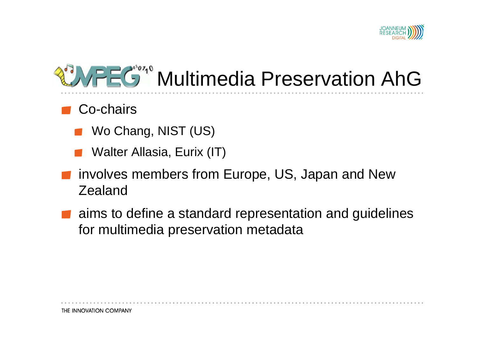

# Multimedia Preservation AhG

#### Co-chairs

- Wo Chang, NIST (US)
- Walter Allasia, Eurix (IT)
- involves members from Europe, US, Japan and New Zealand
- aims to define a standard representation and guidelines for multimedia preservation metadata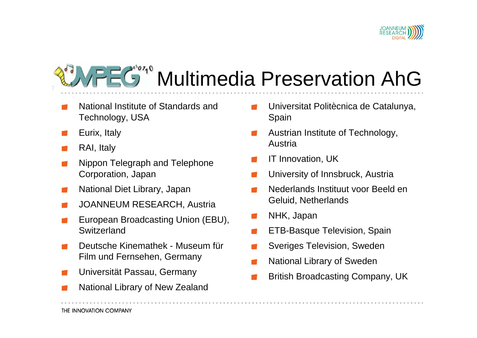

#### Multimedia Preservation AhG 7

- National Institute of Standards and Technology, USA
- Eurix, Italy
- RAI, Italy
- Nippon Telegraph and Telephone Corporation, Japan
- National Diet Library, Japan
- JOANNEUM RESEARCH, Austria
- European Broadcasting Union (EBU), **Switzerland**
- Deutsche Kinemathek Museum fürFilm und Fernsehen, Germany
- Universität Passau, Germany
- National Library of New Zealand
- Universitat Politècnica de Catalunya, Spain
- Austrian Institute of Technology, Austria
- IT Innovation, UK
- University of Innsbruck, Austria
- Nederlands Instituut voor Beeld en Geluid, Netherlands
- NHK, Japan
- ETB-Basque Television, Spain
- Sveriges Television, Sweden
- National Library of Sweden
- British Broadcasting Company, UK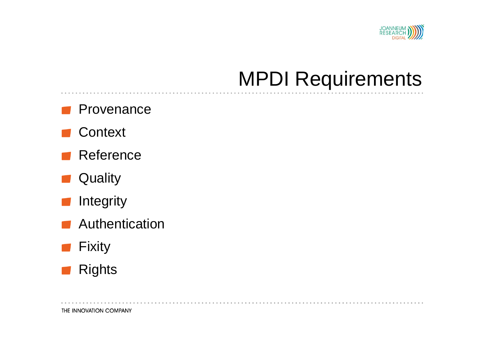

## MPDI Requirements

#### Provenance

- **Context**
- Reference
- **Quality**  $\mathcal{L}^{\text{max}}_{\text{max}}$
- **Integrity**  $\mathcal{L}^{\text{max}}$
- Authentication
- Fixity
- **Rights**  $\mathcal{L}^{\text{max}}_{\text{max}}$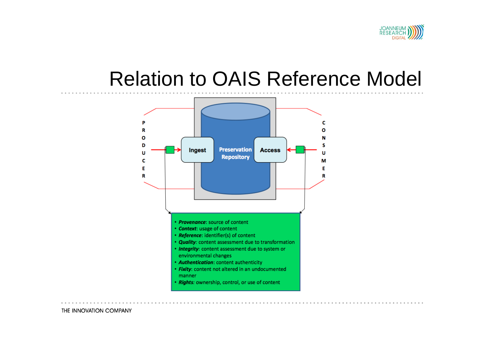

#### Relation to OAIS Reference Model

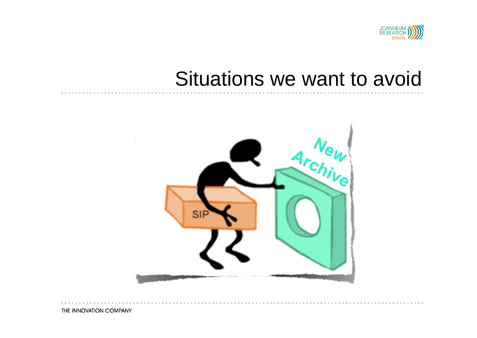

### Situations we want to avoid

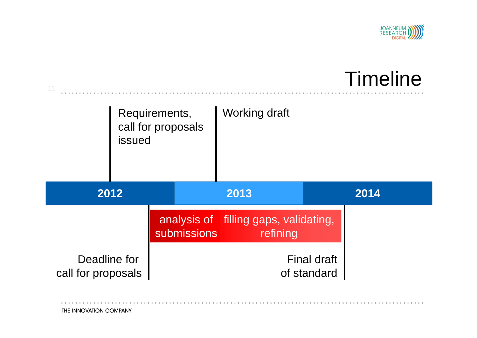

# Timeline

|                                    | Requirements,<br>call for proposals<br>issued |             | <b>Working draft</b>                              |                                   |
|------------------------------------|-----------------------------------------------|-------------|---------------------------------------------------|-----------------------------------|
| 2012                               |                                               |             | 2013                                              | 2014                              |
|                                    |                                               | submissions | analysis of filling gaps, validating,<br>refining |                                   |
| Deadline for<br>call for proposals |                                               |             |                                                   | <b>Final draft</b><br>of standard |

THE INNOVATION COMPANY

 $\alpha-\alpha-\alpha$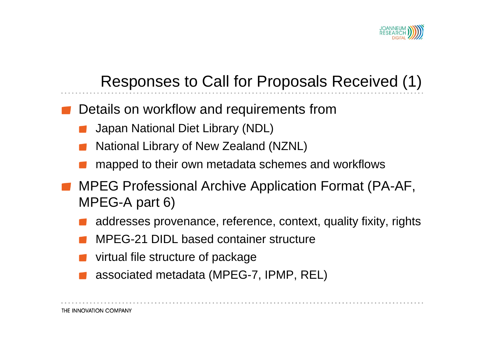

#### Responses to Call for Proposals Received (1)

- Details on workflow and requirements from
	- Japan National Diet Library (NDL)
	- National Library of New Zealand (NZNL)
	- mapped to their own metadata schemes and workflows
- MPEG Professional Archive Application Format (PA-AF, MPEG-A part 6)
	- addresses provenance, reference, context, quality fixity, rights
	- MPEG-21 DIDL based container structure
	- virtual file structure of package
	- associated metadata (MPEG-7, IPMP, REL)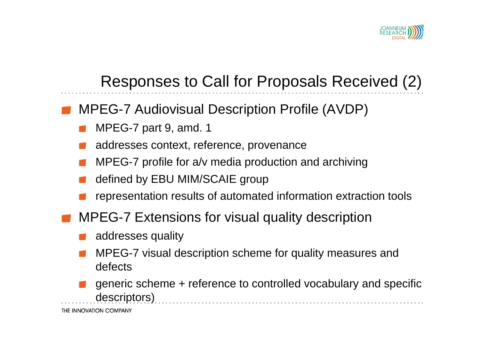

#### Responses to Call for Proposals Received (2)

- MPEG-7 Audiovisual Description Profile (AVDP)
	- MPEG-7 part 9, amd. 1
	- addresses context, reference, provenance
	- MPEG-7 profile for a/v media production and archiving
	- defined by EBU MIM/SCAIE group
	- representation results of automated information extraction tools
- MPEG-7 Extensions for visual quality description
	- addresses quality
	- MPEG-7 visual description scheme for quality measures and defects
	- generic scheme + reference to controlled vocabulary and specific descriptors)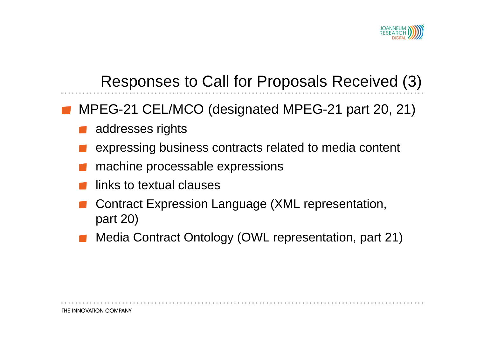

#### Responses to Call for Proposals Received (3)

- MPEG-21 CEL/MCO (designated MPEG-21 part 20, 21)
	- addresses rights
	- expressing business contracts related to media content
	- machine processable expressions
	- links to textual clauses
	- Contract Expression Language (XML representation, part 20)
	- Media Contract Ontology (OWL representation, part 21)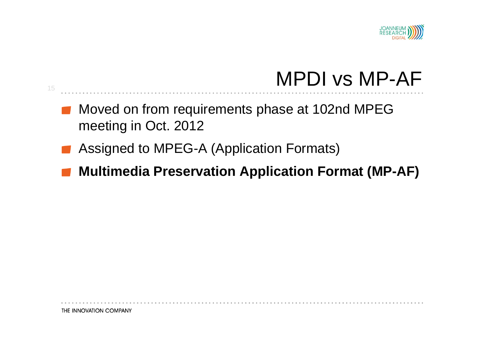

## MPDI vs MP-AF

- Moved on from requirements phase at 102nd MPEG meeting in Oct. 2012
- Assigned to MPEG-A (Application Formats)

15

**Multimedia Preservation Application Format (MP-AF)**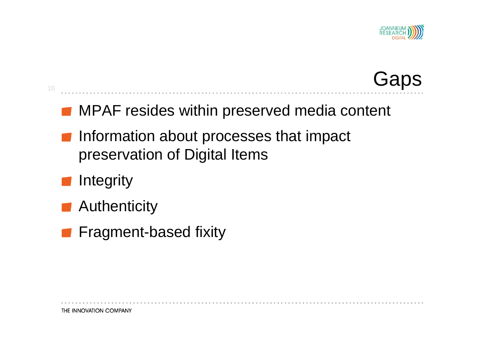

### **Gaps**

#### **MPAF resides within preserved media content**

- **Information about processes that impact** preservation of Digital Items
- **Integrity**

- **Authenticity**
- **Fragment-based fixity**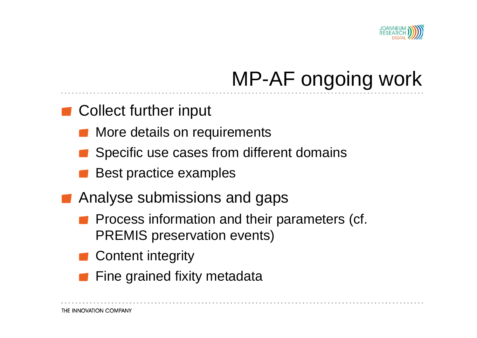

# MP-AF ongoing work

- Collect further input
	- More details on requirements
	- Specific use cases from different domains
	- Best practice examples
- Analyse submissions and gaps
	- Process information and their parameters (cf. PREMIS preservation events)
	- Content integrity
	- Fine grained fixity metadata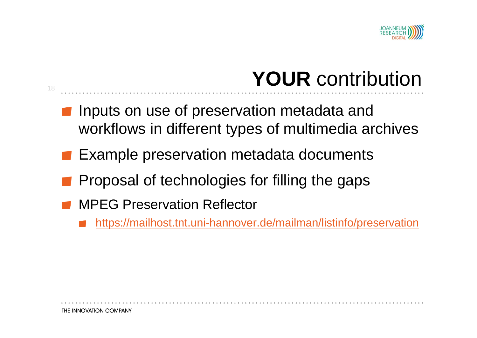

# **YOUR** contribution

- Inputs on use of preservation metadata and workflows in different types of multimedia archives
- Example preservation metadata documents
- Proposal of technologies for filling the gaps
- MPEG Preservation Reflector
	- https://mailhost.tnt.uni-hannover.de/mailman/listinfo/preservation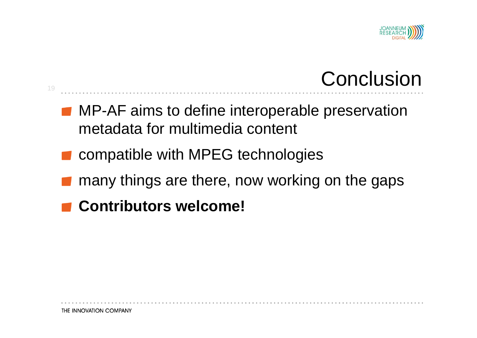

# **Conclusion**

- **MP-AF aims to define interoperable preservation** metadata for multimedia content
- compatible with MPEG technologies

- many things are there, now working on the gaps
- **Contributors welcome!**